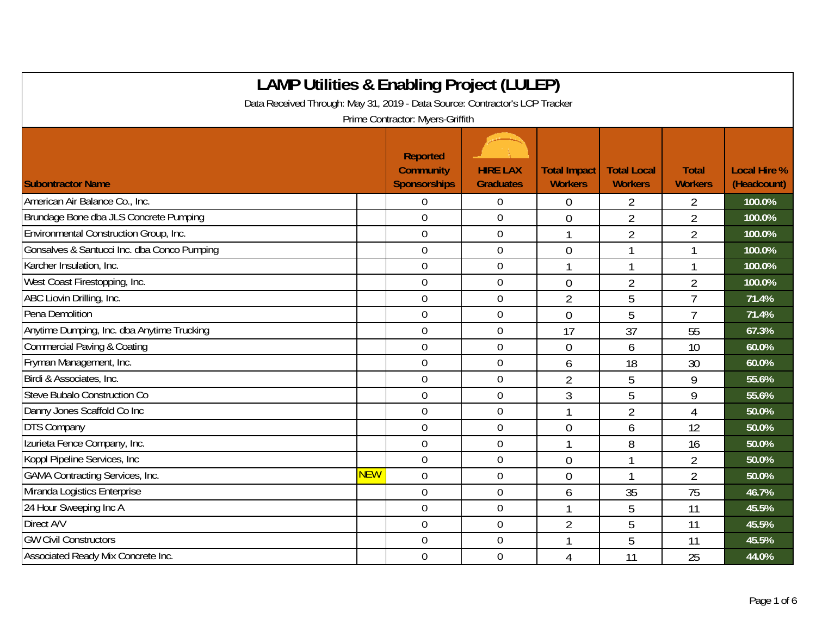| <b>LAMP Utilities &amp; Enabling Project (LULEP)</b>                                                            |            |                                                     |                                     |                                       |                                      |                                |                                    |  |  |
|-----------------------------------------------------------------------------------------------------------------|------------|-----------------------------------------------------|-------------------------------------|---------------------------------------|--------------------------------------|--------------------------------|------------------------------------|--|--|
| Data Received Through: May 31, 2019 - Data Source: Contractor's LCP Tracker<br>Prime Contractor: Myers-Griffith |            |                                                     |                                     |                                       |                                      |                                |                                    |  |  |
| <b>Subontractor Name</b>                                                                                        |            | Reported<br><b>Community</b><br><b>Sponsorships</b> | <b>HIRE LAX</b><br><b>Graduates</b> | <b>Total Impact</b><br><b>Workers</b> | <b>Total Local</b><br><b>Workers</b> | <b>Total</b><br><b>Workers</b> | <b>Local Hire %</b><br>(Headcount) |  |  |
| American Air Balance Co., Inc.                                                                                  |            | $\mathbf 0$                                         | $\boldsymbol{0}$                    | 0                                     | $\overline{2}$                       | 2                              | 100.0%                             |  |  |
| Brundage Bone dba JLS Concrete Pumping                                                                          |            | $\overline{0}$                                      | $\boldsymbol{0}$                    | $\theta$                              | $\overline{2}$                       | $\overline{2}$                 | 100.0%                             |  |  |
| Environmental Construction Group, Inc.                                                                          |            | $\overline{0}$                                      | $\mathbf 0$                         |                                       | $\overline{2}$                       | $\overline{2}$                 | 100.0%                             |  |  |
| Gonsalves & Santucci Inc. dba Conco Pumping                                                                     |            | $\mathbf 0$                                         | $\boldsymbol{0}$                    | $\overline{0}$                        |                                      |                                | 100.0%                             |  |  |
| Karcher Insulation, Inc.                                                                                        |            | $\overline{0}$                                      | $\overline{0}$                      |                                       | 1                                    |                                | 100.0%                             |  |  |
| West Coast Firestopping, Inc.                                                                                   |            | $\mathbf 0$                                         | $\mathbf 0$                         | $\theta$                              | $\overline{2}$                       | $\overline{2}$                 | 100.0%                             |  |  |
| ABC Liovin Drilling, Inc.                                                                                       |            | $\mathbf 0$                                         | $\mathbf 0$                         | $\overline{2}$                        | 5                                    | $\overline{7}$                 | 71.4%                              |  |  |
| Pena Demolition                                                                                                 |            | $\overline{0}$                                      | $\mathbf 0$                         | $\overline{0}$                        | 5                                    | $\overline{7}$                 | 71.4%                              |  |  |
| Anytime Dumping, Inc. dba Anytime Trucking                                                                      |            | $\overline{0}$                                      | $\mathbf 0$                         | 17                                    | 37                                   | 55                             | 67.3%                              |  |  |
| <b>Commercial Paving &amp; Coating</b>                                                                          |            | $\overline{0}$                                      | $\mathbf 0$                         | $\overline{0}$                        | 6                                    | 10                             | 60.0%                              |  |  |
| Fryman Management, Inc.                                                                                         |            | $\mathbf 0$                                         | $\boldsymbol{0}$                    | 6                                     | 18                                   | 30                             | 60.0%                              |  |  |
| Birdi & Associates, Inc.                                                                                        |            | $\mathbf 0$                                         | $\mathbf 0$                         | $\overline{2}$                        | 5                                    | 9                              | 55.6%                              |  |  |
| Steve Bubalo Construction Co                                                                                    |            | $\mathbf 0$                                         | $\boldsymbol{0}$                    | 3                                     | 5                                    | 9                              | 55.6%                              |  |  |
| Danny Jones Scaffold Co Inc                                                                                     |            | $\boldsymbol{0}$                                    | $\boldsymbol{0}$                    |                                       | $\overline{2}$                       | $\overline{4}$                 | 50.0%                              |  |  |
| <b>DTS Company</b>                                                                                              |            | $\mathbf 0$                                         | $\boldsymbol{0}$                    | $\overline{0}$                        | 6                                    | 12                             | 50.0%                              |  |  |
| Izurieta Fence Company, Inc.                                                                                    |            | $\overline{0}$                                      | $\mathbf 0$                         |                                       | 8                                    | 16                             | 50.0%                              |  |  |
| Koppl Pipeline Services, Inc.                                                                                   |            | $\overline{0}$                                      | $\overline{0}$                      | $\overline{0}$                        | 1                                    | $\overline{2}$                 | 50.0%                              |  |  |
| <b>GAMA Contracting Services, Inc.</b>                                                                          | <b>NEW</b> | $\overline{0}$                                      | $\mathbf 0$                         | 0                                     |                                      | 2                              | 50.0%                              |  |  |
| Miranda Logistics Enterprise                                                                                    |            | $\overline{0}$                                      | $\mathbf 0$                         | 6                                     | 35                                   | 75                             | 46.7%                              |  |  |
| 24 Hour Sweeping Inc A                                                                                          |            | $\mathbf 0$                                         | $\boldsymbol{0}$                    |                                       | 5                                    | 11                             | 45.5%                              |  |  |
| Direct A/V                                                                                                      |            | $\boldsymbol{0}$                                    | $\mathbf 0$                         | $\overline{2}$                        | 5                                    | 11                             | 45.5%                              |  |  |
| <b>GW Civil Constructors</b>                                                                                    |            | $\overline{0}$                                      | $\boldsymbol{0}$                    |                                       | 5                                    | 11                             | 45.5%                              |  |  |
| Associated Ready Mix Concrete Inc.                                                                              |            | $\theta$                                            | $\mathbf 0$                         | 4                                     | 11                                   | 25                             | 44.0%                              |  |  |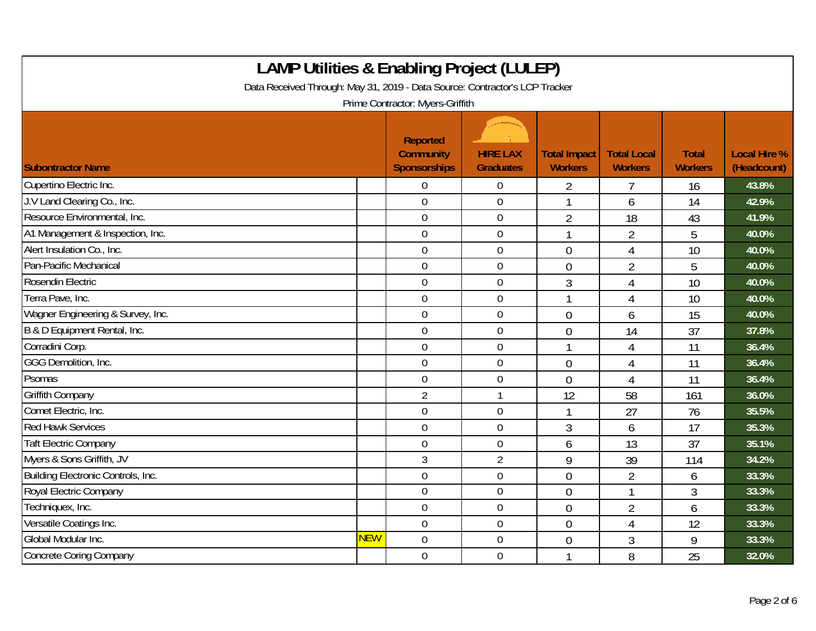| <b>LAMP Utilities &amp; Enabling Project (LULEP)</b><br>Data Received Through: May 31, 2019 - Data Source: Contractor's LCP Tracker<br>Prime Contractor: Myers-Griffith |            |                                                            |                                     |                                       |                                      |                                |                                    |  |
|-------------------------------------------------------------------------------------------------------------------------------------------------------------------------|------------|------------------------------------------------------------|-------------------------------------|---------------------------------------|--------------------------------------|--------------------------------|------------------------------------|--|
| <b>Subontractor Name</b>                                                                                                                                                |            | <b>Reported</b><br><b>Community</b><br><b>Sponsorships</b> | <b>HIRE LAX</b><br><b>Graduates</b> | <b>Total Impact</b><br><b>Workers</b> | <b>Total Local</b><br><b>Workers</b> | <b>Total</b><br><b>Workers</b> | <b>Local Hire %</b><br>(Headcount) |  |
| Cupertino Electric Inc.                                                                                                                                                 |            | 0                                                          | $\boldsymbol{0}$                    | 2                                     | 7                                    | 16                             | 43.8%                              |  |
| J.V Land Clearing Co., Inc.                                                                                                                                             |            | $\mathbf 0$                                                | $\mathbf 0$                         |                                       | 6                                    | 14                             | 42.9%                              |  |
| Resource Environmental, Inc.                                                                                                                                            |            | $\overline{0}$                                             | $\boldsymbol{0}$                    | $\overline{2}$                        | 18                                   | 43                             | 41.9%                              |  |
| A1 Management & Inspection, Inc.                                                                                                                                        |            | $\boldsymbol{0}$                                           | $\boldsymbol{0}$                    | 1                                     | $\overline{2}$                       | 5                              | 40.0%                              |  |
| Alert Insulation Co., Inc.                                                                                                                                              |            | $\overline{0}$                                             | $\mathbf 0$                         | $\overline{0}$                        | 4                                    | 10                             | 40.0%                              |  |
| Pan-Pacific Mechanical                                                                                                                                                  |            | $\mathbf 0$                                                | $\boldsymbol{0}$                    | $\overline{0}$                        | $\overline{2}$                       | 5                              | 40.0%                              |  |
| Rosendin Electric                                                                                                                                                       |            | $\mathbf 0$                                                | $\mathbf 0$                         | 3                                     | 4                                    | 10                             | 40.0%                              |  |
| Terra Pave, Inc.                                                                                                                                                        |            | $\overline{0}$                                             | $\mathbf 0$                         |                                       | 4                                    | 10                             | 40.0%                              |  |
| Wagner Engineering & Survey, Inc.                                                                                                                                       |            | $\overline{0}$                                             | $\boldsymbol{0}$                    | $\overline{0}$                        | 6                                    | 15                             | 40.0%                              |  |
| B & D Equipment Rental, Inc.                                                                                                                                            |            | $\mathbf 0$                                                | $\mathbf 0$                         | $\overline{0}$                        | 14                                   | 37                             | 37.8%                              |  |
| Corradini Corp.                                                                                                                                                         |            | $\overline{0}$                                             | $\mathbf 0$                         |                                       | 4                                    | 11                             | 36.4%                              |  |
| GGG Demolition, Inc.                                                                                                                                                    |            | $\overline{0}$                                             | $\mathbf 0$                         | $\theta$                              | 4                                    | 11                             | 36.4%                              |  |
| Psomas                                                                                                                                                                  |            | $\overline{0}$                                             | $\mathbf 0$                         | $\Omega$                              | 4                                    | 11                             | 36.4%                              |  |
| Griffith Company                                                                                                                                                        |            | $\overline{2}$                                             | $\mathbf{1}$                        | 12                                    | 58                                   | 161                            | 36.0%                              |  |
| Comet Electric, Inc.                                                                                                                                                    |            | $\mathbf 0$                                                | $\boldsymbol{0}$                    |                                       | 27                                   | 76                             | 35.5%                              |  |
| <b>Red Hawk Services</b>                                                                                                                                                |            | $\overline{0}$                                             | $\mathbf 0$                         | $\mathfrak{Z}$                        | 6                                    | 17                             | 35.3%                              |  |
| <b>Taft Electric Company</b>                                                                                                                                            |            | $\overline{0}$                                             | $\mathbf 0$                         | 6                                     | 13                                   | 37                             | 35.1%                              |  |
| Myers & Sons Griffith, JV                                                                                                                                               |            | 3                                                          | $\overline{2}$                      | 9                                     | 39                                   | 114                            | 34.2%                              |  |
| Building Electronic Controls, Inc.                                                                                                                                      |            | $\overline{0}$                                             | $\mathbf 0$                         | $\overline{0}$                        | $\overline{2}$                       | 6                              | 33.3%                              |  |
| Royal Electric Company                                                                                                                                                  |            | $\mathbf 0$                                                | $\pmb{0}$                           | $\overline{0}$                        | 1                                    | 3                              | 33.3%                              |  |
| Techniquex, Inc.                                                                                                                                                        |            | $\mathbf 0$                                                | $\boldsymbol{0}$                    | $\overline{0}$                        | $\overline{2}$                       | 6                              | 33.3%                              |  |
| Versatile Coatings Inc.                                                                                                                                                 |            | $\overline{0}$                                             | $\mathbf 0$                         | $\overline{0}$                        | 4                                    | 12                             | 33.3%                              |  |
| Global Modular Inc.                                                                                                                                                     | <b>NEW</b> | $\overline{0}$                                             | $\boldsymbol{0}$                    | $\overline{0}$                        | 3                                    | 9                              | 33.3%                              |  |
| <b>Concrete Coring Company</b>                                                                                                                                          |            | $\mathbf 0$                                                | $\boldsymbol{0}$                    |                                       | 8                                    | 25                             | 32.0%                              |  |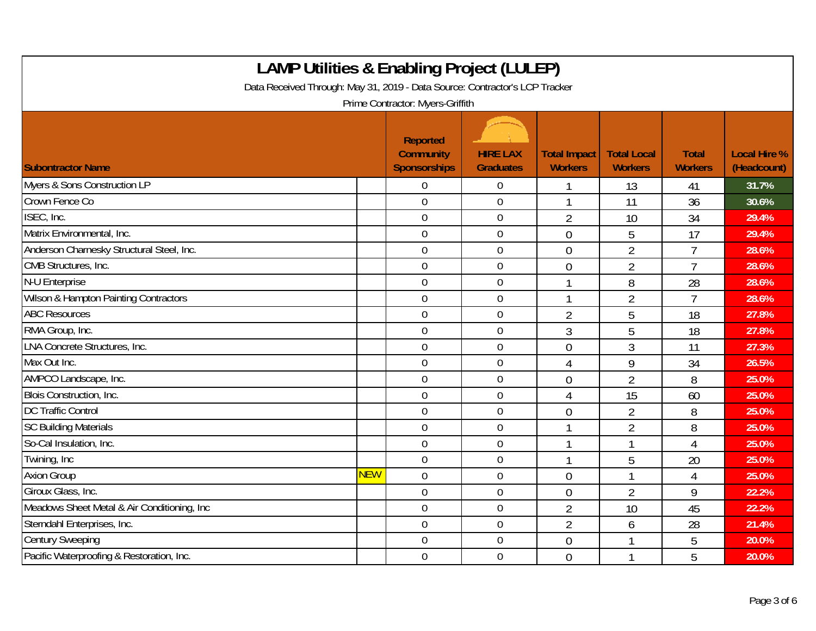| <b>LAMP Utilities &amp; Enabling Project (LULEP)</b><br>Data Received Through: May 31, 2019 - Data Source: Contractor's LCP Tracker<br>Prime Contractor: Myers-Griffith |            |                                                            |                                     |                                       |                                      |                                |                                    |  |
|-------------------------------------------------------------------------------------------------------------------------------------------------------------------------|------------|------------------------------------------------------------|-------------------------------------|---------------------------------------|--------------------------------------|--------------------------------|------------------------------------|--|
| <b>Subontractor Name</b>                                                                                                                                                |            | <b>Reported</b><br><b>Community</b><br><b>Sponsorships</b> | <b>HIRE LAX</b><br><b>Graduates</b> | <b>Total Impact</b><br><b>Workers</b> | <b>Total Local</b><br><b>Workers</b> | <b>Total</b><br><b>Workers</b> | <b>Local Hire %</b><br>(Headcount) |  |
| Myers & Sons Construction LP                                                                                                                                            |            | $\overline{0}$                                             | $\mathbf 0$                         |                                       | 13                                   | 41                             | 31.7%                              |  |
| Crown Fence Co                                                                                                                                                          |            | $\overline{0}$                                             | $\boldsymbol{0}$                    |                                       | 11                                   | 36                             | 30.6%                              |  |
| ISEC, Inc.                                                                                                                                                              |            | $\mathbf 0$                                                | $\boldsymbol{0}$                    | $\overline{2}$                        | 10                                   | 34                             | 29.4%                              |  |
| Matrix Environmental, Inc.                                                                                                                                              |            | $\mathbf 0$                                                | $\mathbf 0$                         | $\overline{0}$                        | 5                                    | 17                             | 29.4%                              |  |
| Anderson Charnesky Structural Steel, Inc.                                                                                                                               |            | $\overline{0}$                                             | $\boldsymbol{0}$                    | $\overline{0}$                        | $\overline{2}$                       | $\overline{7}$                 | 28.6%                              |  |
| CMB Structures, Inc.                                                                                                                                                    |            | $\mathbf 0$                                                | $\mathbf 0$                         | $\overline{0}$                        | $\overline{2}$                       | $\overline{7}$                 | 28.6%                              |  |
| N-U Enterprise                                                                                                                                                          |            | $\mathbf 0$                                                | $\mathbf 0$                         |                                       | 8                                    | 28                             | 28.6%                              |  |
| Wilson & Hampton Painting Contractors                                                                                                                                   |            | $\overline{0}$                                             | $\boldsymbol{0}$                    |                                       | $\overline{2}$                       | $\overline{7}$                 | 28.6%                              |  |
| <b>ABC Resources</b>                                                                                                                                                    |            | $\mathbf 0$                                                | $\boldsymbol{0}$                    | $\overline{2}$                        | 5                                    | 18                             | 27.8%                              |  |
| RMA Group, Inc.                                                                                                                                                         |            | $\boldsymbol{0}$                                           | $\boldsymbol{0}$                    | 3                                     | 5                                    | 18                             | 27.8%                              |  |
| LNA Concrete Structures, Inc.                                                                                                                                           |            | $\overline{0}$                                             | $\overline{0}$                      | $\overline{0}$                        | 3                                    | 11                             | 27.3%                              |  |
| Max Out Inc.                                                                                                                                                            |            | $\overline{0}$                                             | $\mathbf 0$                         | $\overline{4}$                        | 9                                    | 34                             | 26.5%                              |  |
| AMPCO Landscape, Inc.                                                                                                                                                   |            | $\overline{0}$                                             | $\boldsymbol{0}$                    | $\mathbf 0$                           | $\overline{2}$                       | 8                              | 25.0%                              |  |
| Blois Construction, Inc.                                                                                                                                                |            | $\mathbf 0$                                                | $\boldsymbol{0}$                    | 4                                     | 15                                   | 60                             | 25.0%                              |  |
| <b>DC Traffic Control</b>                                                                                                                                               |            | $\mathbf 0$                                                | $\mathbf 0$                         | $\overline{0}$                        | $\overline{2}$                       | 8                              | 25.0%                              |  |
| <b>SC Building Materials</b>                                                                                                                                            |            | $\overline{0}$                                             | $\boldsymbol{0}$                    | $\mathbf{1}$                          | $\overline{2}$                       | 8                              | 25.0%                              |  |
| So-Cal Insulation, Inc.                                                                                                                                                 |            | $\mathbf 0$                                                | 0                                   |                                       | 1                                    | $\overline{4}$                 | 25.0%                              |  |
| Twining, Inc                                                                                                                                                            |            | $\overline{0}$                                             | $\mathbf 0$                         |                                       | 5                                    | 20                             | 25.0%                              |  |
| <b>Axion Group</b>                                                                                                                                                      | <b>NEW</b> | $\overline{0}$                                             | $\boldsymbol{0}$                    | $\mathbf 0$                           | $\mathbf{1}$                         | $\overline{4}$                 | 25.0%                              |  |
| Giroux Glass, Inc.                                                                                                                                                      |            | $\mathbf 0$                                                | $\mathbf 0$                         | $\overline{0}$                        | $\overline{2}$                       | 9                              | 22.2%                              |  |
| Meadows Sheet Metal & Air Conditioning, Inc.                                                                                                                            |            | $\mathbf 0$                                                | $\mathbf 0$                         | $\overline{2}$                        | 10                                   | 45                             | 22.2%                              |  |
| Sterndahl Enterprises, Inc.                                                                                                                                             |            | $\mathbf 0$                                                | $\boldsymbol{0}$                    | $\overline{2}$                        | 6                                    | 28                             | 21.4%                              |  |
| <b>Century Sweeping</b>                                                                                                                                                 |            | $\mathbf 0$                                                | 0                                   | $\overline{0}$                        | 1                                    | 5                              | 20.0%                              |  |
| Pacific Waterproofing & Restoration, Inc.                                                                                                                               |            | $\mathbf 0$                                                | $\boldsymbol{0}$                    | $\theta$                              | 1                                    | 5                              | 20.0%                              |  |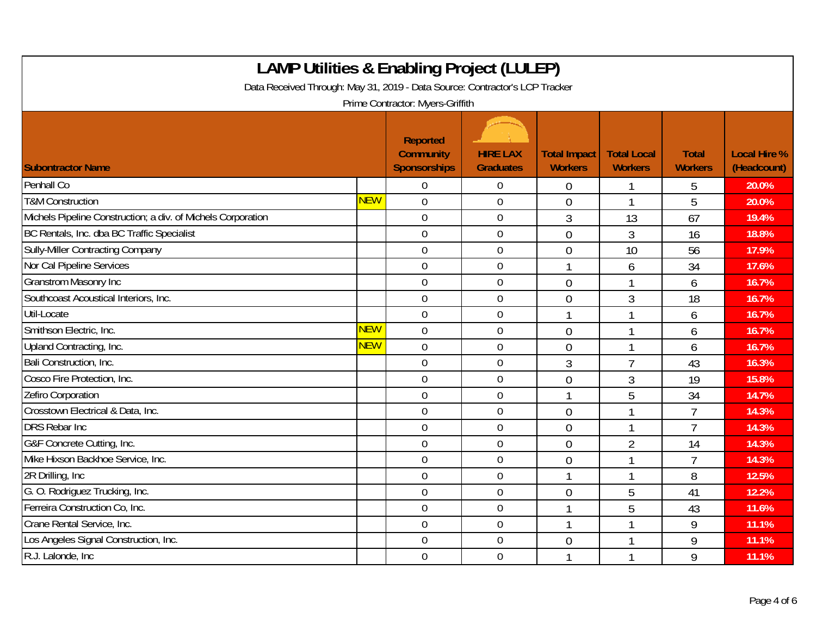| <b>LAMP Utilities &amp; Enabling Project (LULEP)</b><br>Data Received Through: May 31, 2019 - Data Source: Contractor's LCP Tracker<br>Prime Contractor: Myers-Griffith |            |                                                            |                                     |                                       |                                      |                                |                                    |  |
|-------------------------------------------------------------------------------------------------------------------------------------------------------------------------|------------|------------------------------------------------------------|-------------------------------------|---------------------------------------|--------------------------------------|--------------------------------|------------------------------------|--|
| <b>Subontractor Name</b>                                                                                                                                                |            | <b>Reported</b><br><b>Community</b><br><b>Sponsorships</b> | <b>HIRE LAX</b><br><b>Graduates</b> | <b>Total Impact</b><br><b>Workers</b> | <b>Total Local</b><br><b>Workers</b> | <b>Total</b><br><b>Workers</b> | <b>Local Hire %</b><br>(Headcount) |  |
| Penhall Co                                                                                                                                                              |            | $\overline{0}$                                             | $\boldsymbol{0}$                    | $\overline{0}$                        |                                      | 5                              | 20.0%                              |  |
| <b>T&amp;M Construction</b>                                                                                                                                             | <b>NEW</b> | $\mathbf 0$                                                | 0                                   | $\overline{0}$                        | $\mathbf{1}$                         | 5                              | 20.0%                              |  |
| Michels Pipeline Construction; a div. of Michels Corporation                                                                                                            |            | $\mathbf 0$                                                | $\boldsymbol{0}$                    | 3                                     | 13                                   | 67                             | 19.4%                              |  |
| BC Rentals, Inc. dba BC Traffic Specialist                                                                                                                              |            | $\overline{0}$                                             | $\mathbf 0$                         | $\mathbf 0$                           | 3                                    | 16                             | 18.8%                              |  |
| Sully-Miller Contracting Company                                                                                                                                        |            | $\overline{0}$                                             | 0                                   | $\overline{0}$                        | 10                                   | 56                             | 17.9%                              |  |
| Nor Cal Pipeline Services                                                                                                                                               |            | $\overline{0}$                                             | $\boldsymbol{0}$                    |                                       | 6                                    | 34                             | 17.6%                              |  |
| <b>Granstrom Masonry Inc</b>                                                                                                                                            |            | $\mathbf 0$                                                | $\mathbf 0$                         | $\overline{0}$                        |                                      | 6                              | 16.7%                              |  |
| Southcoast Acoustical Interiors, Inc.                                                                                                                                   |            | $\overline{0}$                                             | 0                                   | $\overline{0}$                        | 3                                    | 18                             | 16.7%                              |  |
| Util-Locate                                                                                                                                                             |            | $\mathbf 0$                                                | $\boldsymbol{0}$                    | $\mathbf{1}$                          | $\overline{1}$                       | 6                              | 16.7%                              |  |
| Smithson Electric, Inc.                                                                                                                                                 | <b>NEW</b> | $\mathbf 0$                                                | $\boldsymbol{0}$                    | $\overline{0}$                        | $\mathbf{1}$                         | 6                              | 16.7%                              |  |
| Upland Contracting, Inc.                                                                                                                                                | <b>NEW</b> | $\overline{0}$                                             | $\mathbf 0$                         | $\overline{0}$                        | 1                                    | 6                              | 16.7%                              |  |
| Bali Construction, Inc.                                                                                                                                                 |            | $\overline{0}$                                             | $\boldsymbol{0}$                    | 3                                     | $\overline{7}$                       | 43                             | 16.3%                              |  |
| Cosco Fire Protection, Inc.                                                                                                                                             |            | $\mathbf 0$                                                | $\mathbf 0$                         | $\overline{0}$                        | 3                                    | 19                             | 15.8%                              |  |
| Zefiro Corporation                                                                                                                                                      |            | $\overline{0}$                                             | $\mathbf 0$                         |                                       | 5                                    | 34                             | 14.7%                              |  |
| Crosstown Electrical & Data, Inc.                                                                                                                                       |            | $\boldsymbol{0}$                                           | $\boldsymbol{0}$                    | $\mathbf 0$                           | 1                                    | $\overline{1}$                 | 14.3%                              |  |
| <b>DRS Rebar Inc</b>                                                                                                                                                    |            | $\mathbf 0$                                                | $\mathbf 0$                         | $\overline{0}$                        | $\mathbf{1}$                         | $\overline{7}$                 | 14.3%                              |  |
| G&F Concrete Cutting, Inc.                                                                                                                                              |            | $\overline{0}$                                             | 0                                   | $\overline{0}$                        | $\overline{2}$                       | 14                             | 14.3%                              |  |
| Mike Hixson Backhoe Service, Inc.                                                                                                                                       |            | $\overline{0}$                                             | $\boldsymbol{0}$                    | $\overline{0}$                        | 1                                    | $\overline{7}$                 | 14.3%                              |  |
| 2R Drilling, Inc.                                                                                                                                                       |            | $\overline{0}$                                             | $\mathbf 0$                         |                                       | -1                                   | 8                              | 12.5%                              |  |
| G. O. Rodriguez Trucking, Inc.                                                                                                                                          |            | $\mathbf 0$                                                | $\mathbf 0$                         | $\overline{0}$                        | 5                                    | 41                             | 12.2%                              |  |
| Ferreira Construction Co, Inc.                                                                                                                                          |            | $\overline{0}$                                             | $\boldsymbol{0}$                    |                                       | 5                                    | 43                             | 11.6%                              |  |
| Crane Rental Service, Inc.                                                                                                                                              |            | $\overline{0}$                                             | $\mathbf 0$                         |                                       | $\mathbf{1}$                         | 9                              | 11.1%                              |  |
| Los Angeles Signal Construction, Inc.                                                                                                                                   |            | $\mathbf 0$                                                | $\mathbf 0$                         | $\overline{0}$                        | 1                                    | 9                              | 11.1%                              |  |
| R.J. Lalonde, Inc.                                                                                                                                                      |            | $\overline{0}$                                             | $\mathbf 0$                         |                                       | 1                                    | 9                              | 11.1%                              |  |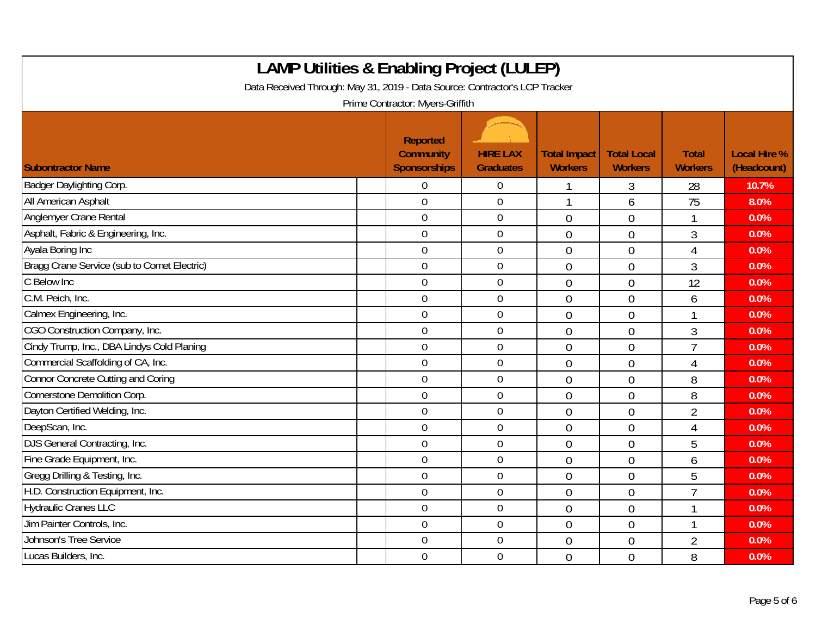| <b>LAMP Utilities &amp; Enabling Project (LULEP)</b><br>Data Received Through: May 31, 2019 - Data Source: Contractor's LCP Tracker<br>Prime Contractor: Myers-Griffith |                                              |                                     |                                       |                                      |                                |                                    |  |  |
|-------------------------------------------------------------------------------------------------------------------------------------------------------------------------|----------------------------------------------|-------------------------------------|---------------------------------------|--------------------------------------|--------------------------------|------------------------------------|--|--|
| <b>Subontractor Name</b>                                                                                                                                                | Reported<br><b>Community</b><br>Sponsorships | <b>HIRE LAX</b><br><b>Graduates</b> | <b>Total Impact</b><br><b>Workers</b> | <b>Total Local</b><br><b>Workers</b> | <b>Total</b><br><b>Workers</b> | <b>Local Hire %</b><br>(Headcount) |  |  |
| Badger Daylighting Corp.                                                                                                                                                | $\overline{0}$                               | $\overline{0}$                      |                                       | 3                                    | 28                             | 10.7%                              |  |  |
| All American Asphalt                                                                                                                                                    | $\mathbf 0$                                  | $\mathbf 0$                         |                                       | 6                                    | 75                             | 8.0%                               |  |  |
| Anglemyer Crane Rental                                                                                                                                                  | $\mathbf 0$                                  | $\boldsymbol{0}$                    | $\overline{0}$                        | $\overline{0}$                       | 1                              | 0.0%                               |  |  |
| Asphalt, Fabric & Engineering, Inc.                                                                                                                                     | $\overline{0}$                               | $\boldsymbol{0}$                    | $\overline{0}$                        | $\mathbf 0$                          | 3                              | 0.0%                               |  |  |
| Ayala Boring Inc                                                                                                                                                        | $\overline{0}$                               | $\mathbf 0$                         | $\overline{0}$                        | $\overline{0}$                       | 4                              | 0.0%                               |  |  |
| Bragg Crane Service (sub to Comet Electric)                                                                                                                             | $\mathbf 0$                                  | $\mathbf 0$                         | $\overline{0}$                        | $\theta$                             | 3                              | 0.0%                               |  |  |
| C Below Inc                                                                                                                                                             | $\mathbf 0$                                  | $\mathbf 0$                         | $\overline{0}$                        | $\mathbf 0$                          | 12                             | 0.0%                               |  |  |
| C.M. Peich, Inc.                                                                                                                                                        | $\mathbf 0$                                  | $\mathbf 0$                         | $\overline{0}$                        | $\overline{0}$                       | 6                              | 0.0%                               |  |  |
| Calmex Engineering, Inc.                                                                                                                                                | $\mathbf 0$                                  | $\mathbf 0$                         | $\overline{0}$                        | $\overline{0}$                       |                                | 0.0%                               |  |  |
| CGO Construction Company, Inc.                                                                                                                                          | $\mathbf 0$                                  | $\mathbf 0$                         | $\overline{0}$                        | $\overline{0}$                       | 3                              | 0.0%                               |  |  |
| Cindy Trump, Inc., DBA Lindys Cold Planing                                                                                                                              | $\overline{0}$                               | $\mathbf 0$                         | $\overline{0}$                        | $\theta$                             | $\overline{7}$                 | 0.0%                               |  |  |
| Commercial Scaffolding of CA, Inc.                                                                                                                                      | $\mathbf 0$                                  | $\mathbf 0$                         | $\overline{0}$                        | $\overline{0}$                       | 4                              | 0.0%                               |  |  |
| <b>Connor Concrete Cutting and Coring</b>                                                                                                                               | $\overline{0}$                               | $\mathbf 0$                         | $\overline{0}$                        | $\overline{0}$                       | 8                              | 0.0%                               |  |  |
| Cornerstone Demolition Corp.                                                                                                                                            | $\overline{0}$                               | $\overline{0}$                      | $\overline{0}$                        | $\overline{0}$                       | 8                              | 0.0%                               |  |  |
| Dayton Certified Welding, Inc.                                                                                                                                          | $\mathbf 0$                                  | $\boldsymbol{0}$                    | $\overline{0}$                        | $\overline{0}$                       | $\overline{2}$                 | 0.0%                               |  |  |
| DeepScan, Inc.                                                                                                                                                          | $\theta$                                     | $\mathbf 0$                         | $\overline{0}$                        | $\overline{0}$                       | $\overline{4}$                 | 0.0%                               |  |  |
| DJS General Contracting, Inc.                                                                                                                                           | $\overline{0}$                               | $\overline{0}$                      | $\overline{0}$                        | $\overline{0}$                       | 5                              | 0.0%                               |  |  |
| Fine Grade Equipment, Inc.                                                                                                                                              | $\mathbf 0$                                  | $\mathbf 0$                         | $\overline{0}$                        | $\overline{0}$                       | 6                              | 0.0%                               |  |  |
| Gregg Drilling & Testing, Inc.                                                                                                                                          | $\overline{0}$                               | $\overline{0}$                      | $\overline{0}$                        | $\theta$                             | 5                              | 0.0%                               |  |  |
| H.D. Construction Equipment, Inc.                                                                                                                                       | $\mathbf 0$                                  | $\mathbf 0$                         | $\overline{0}$                        | $\overline{0}$                       | $\overline{1}$                 | 0.0%                               |  |  |
| <b>Hydraulic Cranes LLC</b>                                                                                                                                             | $\overline{0}$                               | $\overline{0}$                      | $\overline{0}$                        | $\overline{0}$                       |                                | 0.0%                               |  |  |
| Jim Painter Controls, Inc.                                                                                                                                              | $\overline{0}$                               | $\overline{0}$                      | $\overline{0}$                        | $\mathbf 0$                          | $\overline{\phantom{a}}$       | 0.0%                               |  |  |
| Johnson's Tree Service                                                                                                                                                  | $\mathbf 0$                                  | $\mathbf 0$                         | $\overline{0}$                        | $\overline{0}$                       | $\overline{2}$                 | 0.0%                               |  |  |
| Lucas Builders, Inc.                                                                                                                                                    | $\overline{0}$                               | $\mathbf 0$                         | $\overline{0}$                        | $\overline{0}$                       | 8                              | 0.0%                               |  |  |